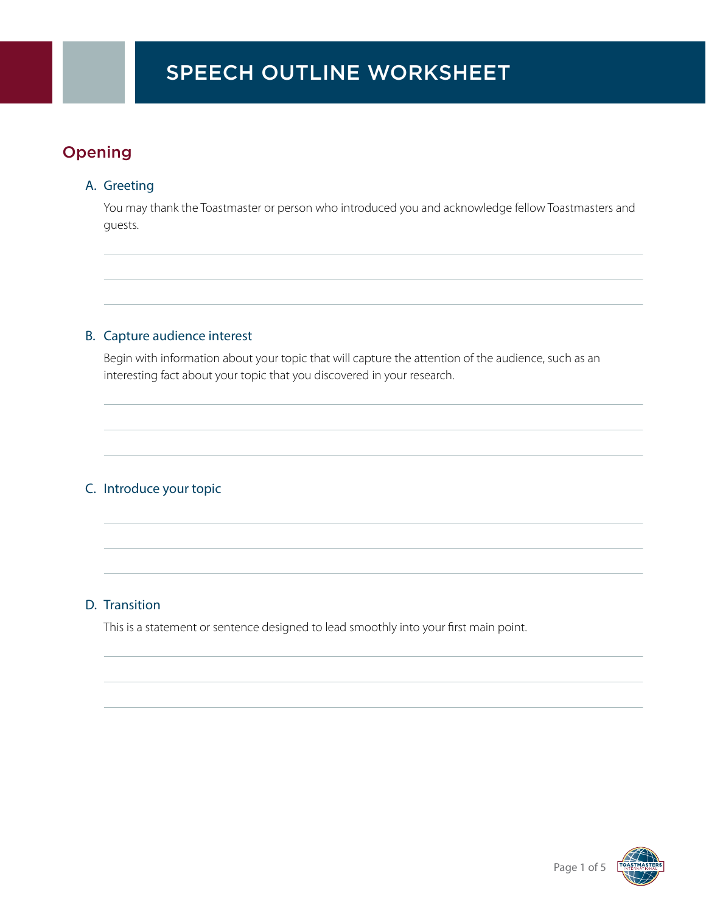# Opening

#### A. Greeting

 You may thank the Toastmaster or person who introduced you and acknowledge fellow Toastmasters and guests.

### B. Capture audience interest

 Begin with information about your topic that will capture the attention of the audience, such as an interesting fact about your topic that you discovered in your research.

### C. Introduce your topic

#### D. Transition

This is a statement or sentence designed to lead smoothly into your first main point.

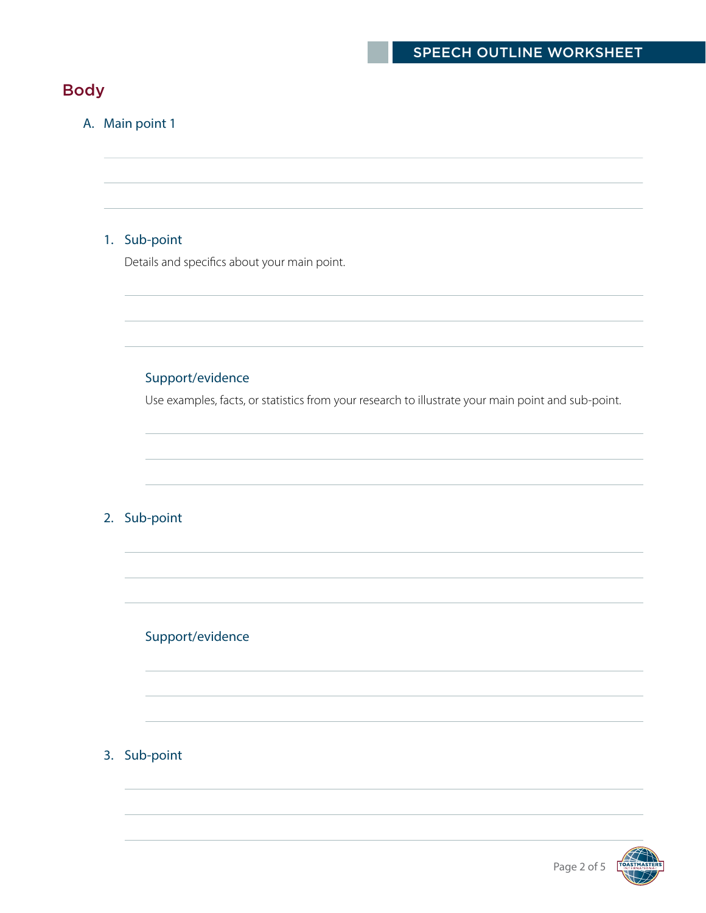# Body

### A. Main point 1

#### 1. Sub-point

Details and specifics about your main point.

### Support/evidence

Use examples, facts, or statistics from your research to illustrate your main point and sub-point.

#### 2. Sub-point

#### Support/evidence

#### 3. Sub-point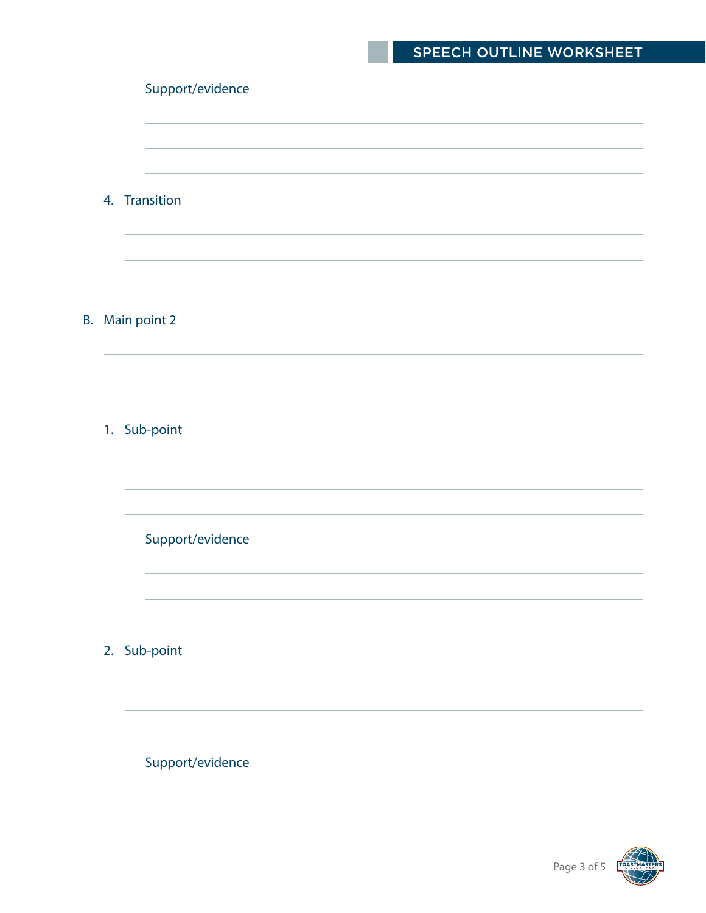## SPEECH OUTLINE WORKSHEET

#### Support/evidence

 4. Transition B. Main point 2 1. Sub-point Support/evidence 2. Sub-point Support/evidence

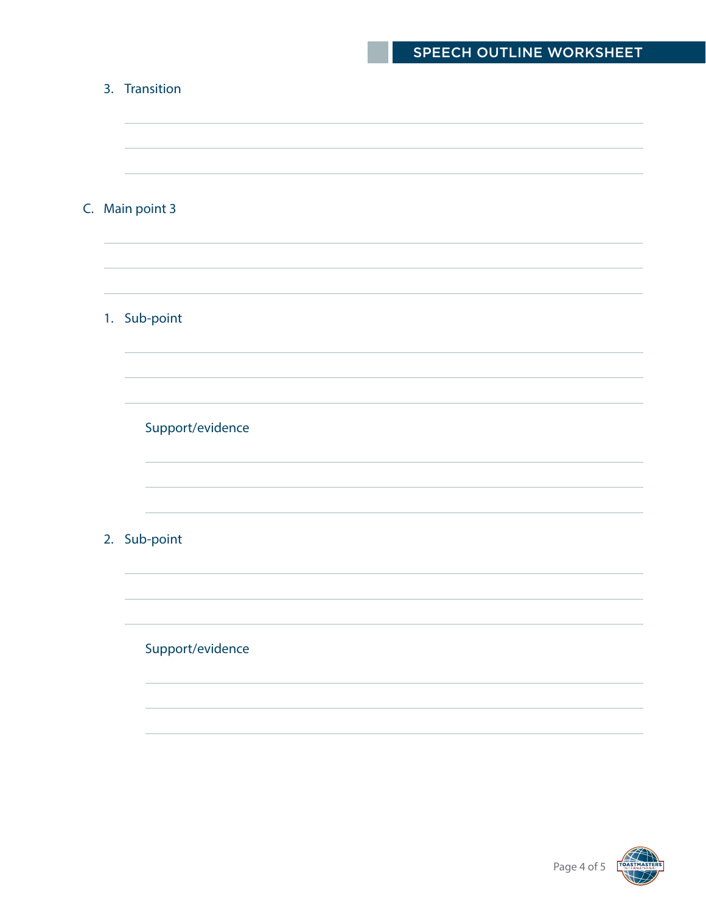# SPEECH OUTLINE WORKSHEET

| 3. Transition    |
|------------------|
| C. Main point 3  |
| 1. Sub-point     |
| Support/evidence |
| 2. Sub-point     |
| Support/evidence |
|                  |